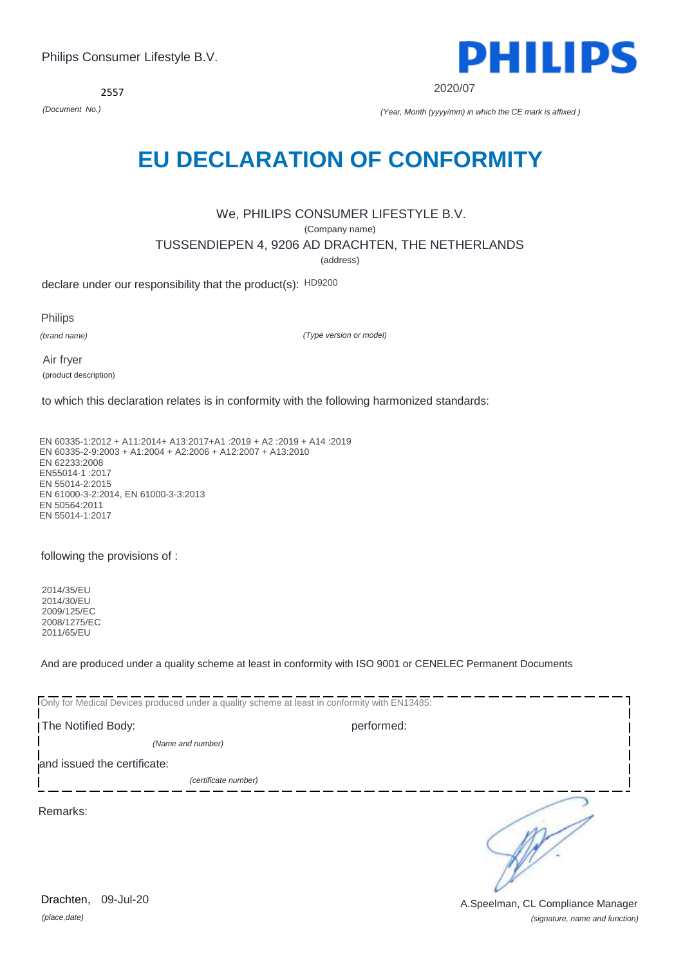*(place,date)* 09-Jul-20

*(signature, name and function)* Drachten, 09-Jul-20 **Drachten, 09-Jul-20** A.Speelman, CL Compliance Manager

# **EU DECLARATION OF CONFORMITY**

## We, PHILIPS CONSUMER LIFESTYLE B.V. (Company name) TUSSENDIEPEN 4, 9206 AD DRACHTEN, THE NETHERLANDS (address)

declare under our responsibility that the product(s): HD9200

Philips

*(brand name)*

*(Type version or model)*

Air fryer (product description)

to which this declaration relates is in conformity with the following harmonized standards:

EN 60335-1:2012 + A11:2014+ A13:2017+A1 :2019 + A2 :2019 + A14 :2019 EN 60335-2-9:2003 + A1:2004 + A2:2006 + A12:2007 + A13:2010 EN 62233:2008 EN55014-1 :2017 EN 55014-2:2015 EN 61000-3-2:2014, EN 61000-3-3:2013 EN 50564:2011 EN 55014-1:2017

### following the provisions of :

2014/35/EU 2014/30/EU 2009/125/EC 2008/1275/EC 2011/65/EU

And are produced under a quality scheme at least in conformity with ISO 9001 or CENELEC Permanent Documents

| Only for Medical Devices produced under a quality scheme at least in conformity with EN13485: |                      |            |  |
|-----------------------------------------------------------------------------------------------|----------------------|------------|--|
| The Notified Body:                                                                            |                      | performed: |  |
|                                                                                               | (Name and number)    |            |  |
| and issued the certificate:                                                                   |                      |            |  |
|                                                                                               | (certificate number) |            |  |
| Remarks:                                                                                      |                      |            |  |

**PHILIPS** 

2020/07

*(Document No.) (Year, Month (yyyy/mm) in which the CE mark is affixed )*



2557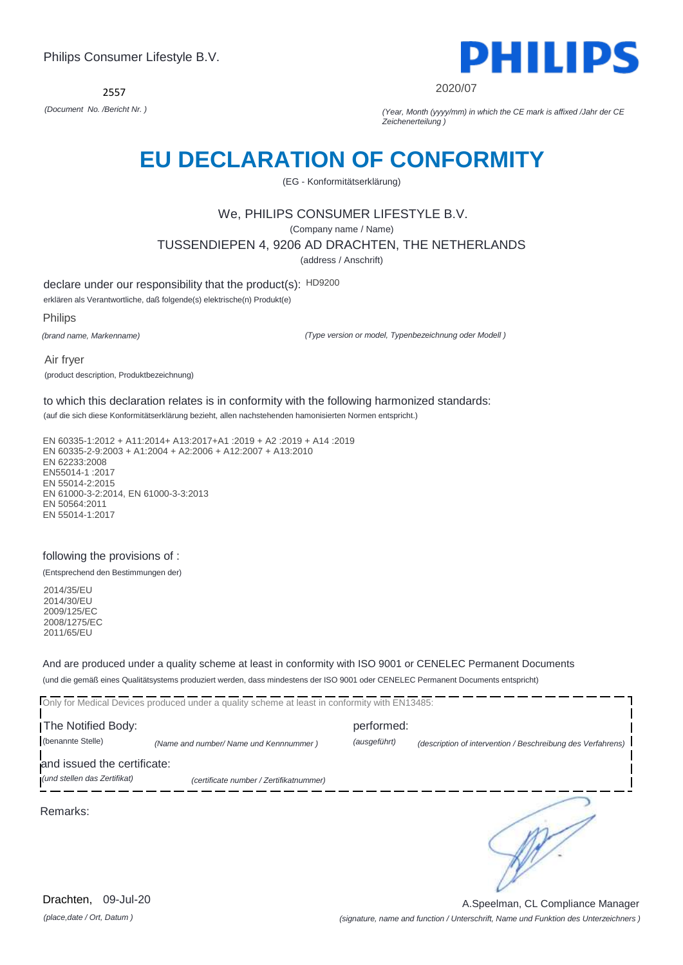2557



2020/07

*(Document No. /Bericht Nr. ) (Year, Month (yyyy/mm) in which the CE mark is affixed /Jahr der CE Zeichenerteilung )*

## **EU DECLARATION OF CONFORMITY**

(EG - Konformitätserklärung)

## We, PHILIPS CONSUMER LIFESTYLE B.V.

(Company name / Name)

#### TUSSENDIEPEN 4, 9206 AD DRACHTEN, THE NETHERLANDS

(address / Anschrift)

declare under our responsibility that the product(s): HD9200

erklären als Verantwortliche, daß folgende(s) elektrische(n) Produkt(e)

Philips

*(brand name, Markenname)*

*(Type version or model, Typenbezeichnung oder Modell )*

Air fryer (product description, Produktbezeichnung)

to which this declaration relates is in conformity with the following harmonized standards:

(auf die sich diese Konformitätserklärung bezieht, allen nachstehenden hamonisierten Normen entspricht.)

EN 60335-1:2012 + A11:2014+ A13:2017+A1 :2019 + A2 :2019 + A14 :2019 EN 60335-2-9:2003 + A1:2004 + A2:2006 + A12:2007 + A13:2010 EN 62233:2008 EN55014-1 :2017 EN 55014-2:2015 EN 61000-3-2:2014, EN 61000-3-3:2013 EN 50564:2011 EN 55014-1:2017

#### following the provisions of :

(Entsprechend den Bestimmungen der)

2014/35/EU 2014/30/EU 2009/125/EC 2008/1275/EC 2011/65/EU

And are produced under a quality scheme at least in conformity with ISO 9001 or CENELEC Permanent Documents (und die gemäß eines Qualitätsystems produziert werden, dass mindestens der ISO 9001 oder CENELEC Permanent Documents entspricht)

Only for Medical Devices produced under a quality scheme at least in conformity with EN13485: The Notified Body: performed: (benannte Stelle) *(Name and number/ Name und Kennnummer ) (ausgeführt) (description of intervention / Beschreibung des Verfahrens)*  and issued the certificate: *(und stellen das Zertifikat) (certificate number / Zertifikatnummer)* ∍ Remarks:

*(signature, name and function / Unterschrift, Name und Funktion des Unterzeichners )* A.Speelman, CL Compliance Manager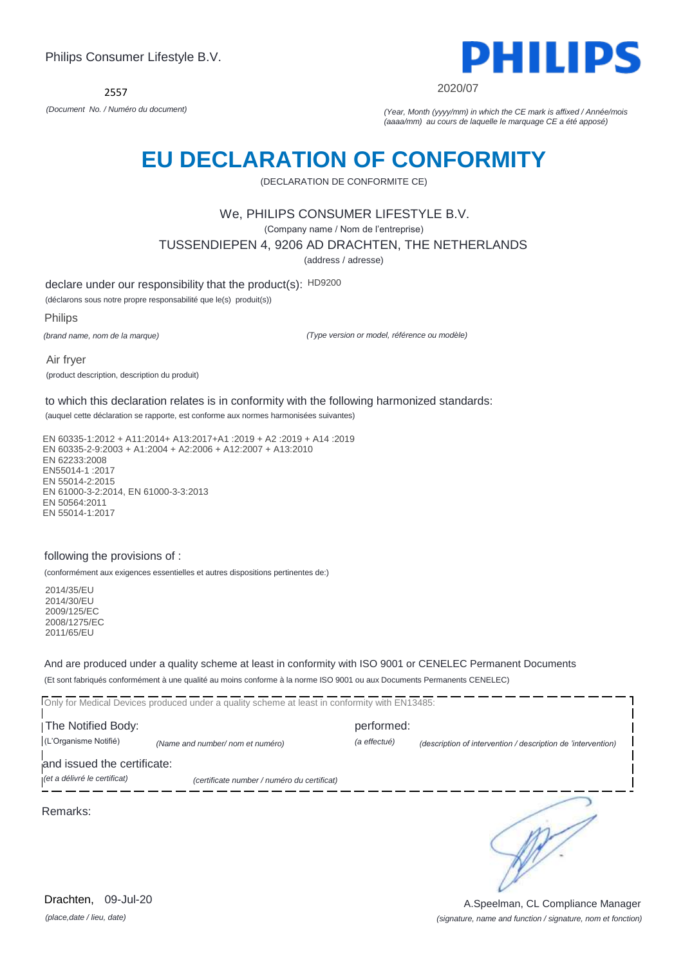2557



2020/07

*(Document No. / Numéro du document) (Year, Month (yyyy/mm) in which the CE mark is affixed / Année/mois (aaaa/mm) au cours de laquelle le marquage CE a été apposé)*

# **EU DECLARATION OF CONFORMITY**

(DECLARATION DE CONFORMITE CE)

### We, PHILIPS CONSUMER LIFESTYLE B.V.

(Company name / Nom de l'entreprise)

TUSSENDIEPEN 4, 9206 AD DRACHTEN, THE NETHERLANDS

(address / adresse)

declare under our responsibility that the product(s): HD9200

(déclarons sous notre propre responsabilité que le(s) produit(s))

Philips

*(brand name, nom de la marque)*

*(Type version or model, référence ou modèle)*

Air fryer (product description, description du produit)

to which this declaration relates is in conformity with the following harmonized standards:

(auquel cette déclaration se rapporte, est conforme aux normes harmonisées suivantes)

EN 60335-1:2012 + A11:2014+ A13:2017+A1 :2019 + A2 :2019 + A14 :2019 EN 60335-2-9:2003 + A1:2004 + A2:2006 + A12:2007 + A13:2010 EN 62233:2008 EN55014-1 :2017 EN 55014-2:2015 EN 61000-3-2:2014, EN 61000-3-3:2013 EN 50564:2011 EN 55014-1:2017

#### following the provisions of :

(conformément aux exigences essentielles et autres dispositions pertinentes de:)

2014/35/EU 2014/30/EU 2009/125/EC 2008/1275/EC 2011/65/EU

And are produced under a quality scheme at least in conformity with ISO 9001 or CENELEC Permanent Documents (Et sont fabriqués conformément à une qualité au moins conforme à la norme ISO 9001 ou aux Documents Permanents CENELEC)

Only for Medical Devices produced under a quality scheme at least in conformity with EN13485: **The Notified Body: performed:** (L'Organisme Notifié) *(Name and number/ nom et numéro) (a effectué) (description of intervention / description de 'intervention)*  and issued the certificate: *(et a délivré le certificat) (certificate number / numéro du certificat)* ∍ Remarks:

*(place,date / lieu, date)* Drachten, 09-Jul-20

*(signature, name and function / signature, nom et fonction)* A.Speelman, CL Compliance Manager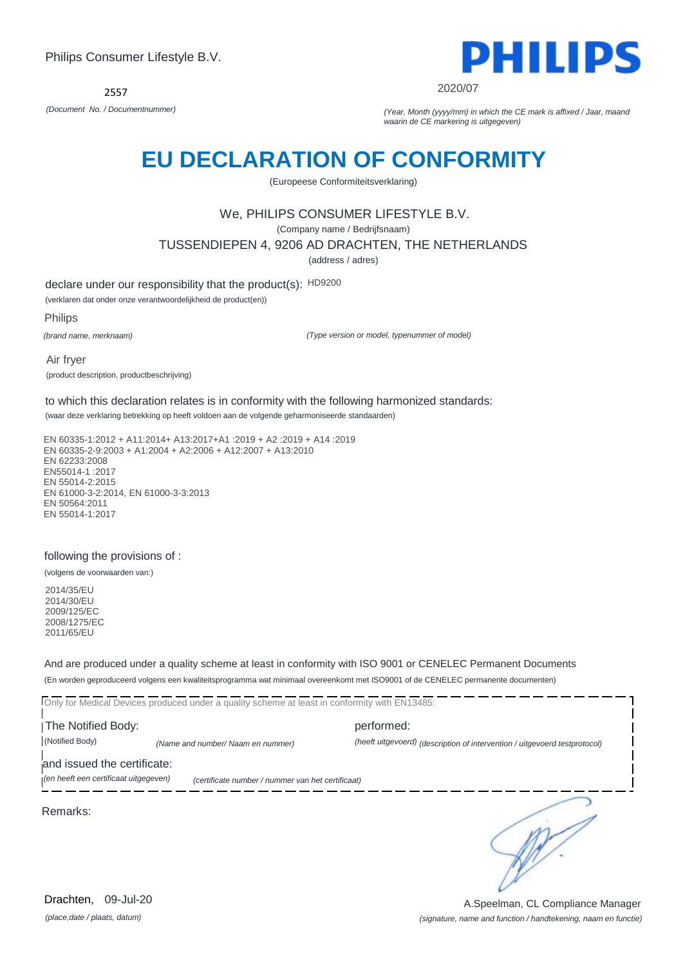

2020/07

*(Document No. / Documentnummer) (Year, Month (yyyy/mm) in which the CE mark is affixed / Jaar, maand waarin de CE markering is uitgegeven)*

# **EU DECLARATION OF CONFORMITY**

(Europeese Conformiteitsverklaring)

### We, PHILIPS CONSUMER LIFESTYLE B.V.

(Company name / Bedrijfsnaam)

TUSSENDIEPEN 4, 9206 AD DRACHTEN, THE NETHERLANDS

(address / adres)

declare under our responsibility that the product(s): HD9200

(verklaren dat onder onze verantwoordelijkheid de product(en))

Philips

*(brand name, merknaam)*

*(Type version or model, typenummer of model)*

Air fryer (product description, productbeschrijving)

to which this declaration relates is in conformity with the following harmonized standards:

(waar deze verklaring betrekking op heeft voldoen aan de volgende geharmoniseerde standaarden)

EN 60335-1:2012 + A11:2014+ A13:2017+A1 :2019 + A2 :2019 + A14 :2019 EN 60335-2-9:2003 + A1:2004 + A2:2006 + A12:2007 + A13:2010 EN 62233:2008 EN55014-1 :2017 EN 55014-2:2015 EN 61000-3-2:2014, EN 61000-3-3:2013 EN 50564:2011 EN 55014-1:2017

#### following the provisions of :

(volgens de voorwaarden van:)

2014/35/EU 2014/30/EU 2009/125/EC 2008/1275/EC 2011/65/EU

And are produced under a quality scheme at least in conformity with ISO 9001 or CENELEC Permanent Documents (En worden geproduceerd volgens een kwaliteitsprogramma wat minimaal overeenkomt met ISO9001 of de CENELEC permanente documenten)

Only for Medical Devices produced under a quality scheme at least in conformity with EN13485: **The Notified Body: performed:** (Notified Body) *(Name and number/ Naam en nummer) (heeft uitgevoerd) (description of intervention / uitgevoerd testprotocol)*  and issued the certificate: *(en heeft een certificaat uitgegeven) (certificate number / nummer van het certificaat)*

Remarks:

∍

*(place,date / plaats, datum)* Drachten, 09-Jul-20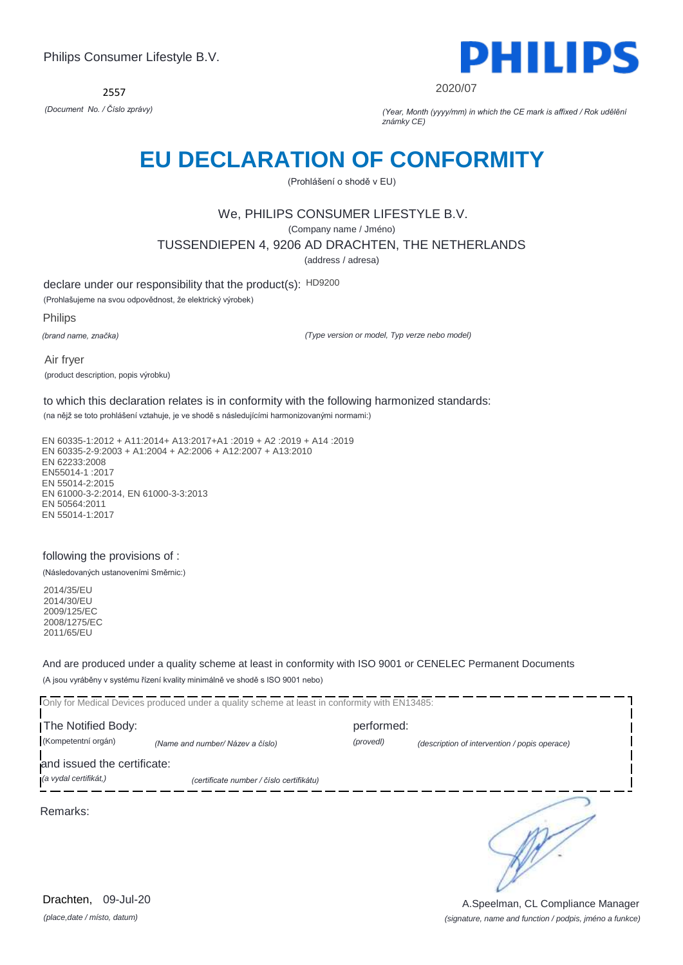2557



2020/07

*(Document No. / Číslo zprávy) (Year, Month (yyyy/mm) in which the CE mark is affixed / Rok udělění známky CE)*

## **EU DECLARATION OF CONFORMITY**

(Prohlášení o shodě v EU)

## We, PHILIPS CONSUMER LIFESTYLE B.V.

(Company name / Jméno)

TUSSENDIEPEN 4, 9206 AD DRACHTEN, THE NETHERLANDS

(address / adresa)

declare under our responsibility that the product(s): HD9200

(Prohlašujeme na svou odpovědnost, že elektrický výrobek)

Philips

*(brand name, značka)*

*(Type version or model, Typ verze nebo model)*

Air fryer (product description, popis výrobku)

to which this declaration relates is in conformity with the following harmonized standards:

(na nějž se toto prohlášení vztahuje, je ve shodě s následujícími harmonizovanými normami:)

EN 60335-1:2012 + A11:2014+ A13:2017+A1 :2019 + A2 :2019 + A14 :2019 EN 60335-2-9:2003 + A1:2004 + A2:2006 + A12:2007 + A13:2010 EN 62233:2008 EN55014-1 :2017 EN 55014-2:2015 EN 61000-3-2:2014, EN 61000-3-3:2013 EN 50564:2011 EN 55014-1:2017

#### following the provisions of :

(Následovaných ustanoveními Směrnic:)

2014/35/EU 2014/30/EU 2009/125/EC 2008/1275/EC 2011/65/EU

And are produced under a quality scheme at least in conformity with ISO 9001 or CENELEC Permanent Documents (A jsou vyráběny v systému řízení kvality minimálně ve shodě s ISO 9001 nebo)

Only for Medical Devices produced under a quality scheme at least in conformity with EN13485: The Notified Body: performed: (Kompetentní orgán) *(Name and number/ Název a číslo) (provedl) (description of intervention / popis operace)*  and issued the certificate: *(a vydal certifikát,) (certificate number / číslo certifikátu)* ∍ Remarks:

*(place,date / místo, datum)* Drachten, 09-Jul-20

*(signature, name and function / podpis, jméno a funkce)* A.Speelman, CL Compliance Manager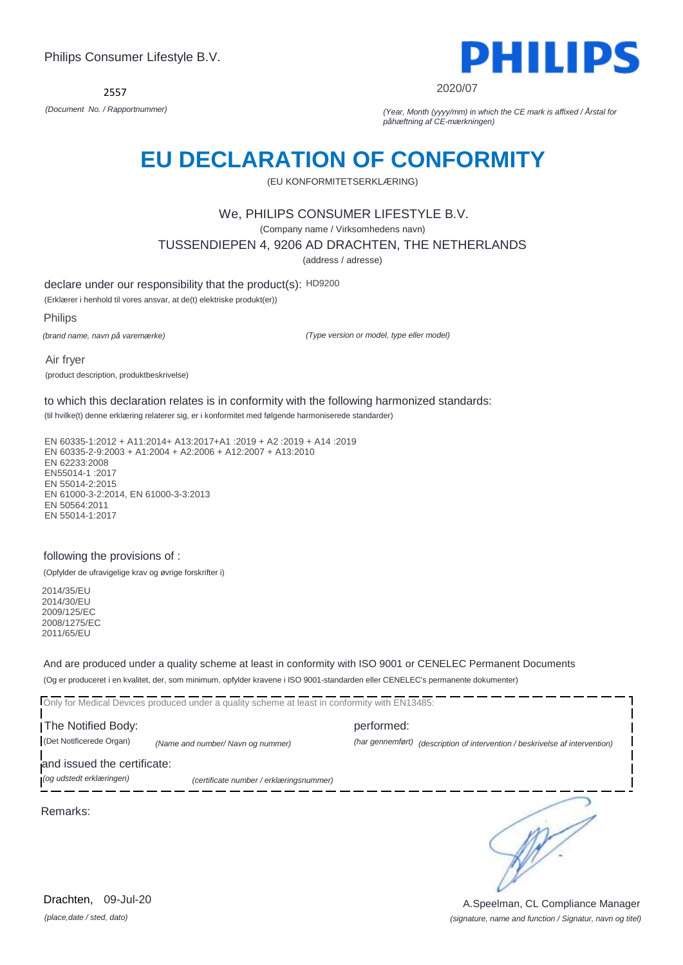2557



2020/07

*(Document No. / Rapportnummer) (Year, Month (yyyy/mm) in which the CE mark is affixed / Årstal for påhæftning af CE-mærkningen)*

# **EU DECLARATION OF CONFORMITY**

(EU KONFORMITETSERKLÆRING)

### We, PHILIPS CONSUMER LIFESTYLE B.V.

(Company name / Virksomhedens navn)

TUSSENDIEPEN 4, 9206 AD DRACHTEN, THE NETHERLANDS

(address / adresse)

declare under our responsibility that the product(s): HD9200

(Erklærer i henhold til vores ansvar, at de(t) elektriske produkt(er))

Philips

*(brand name, navn på varemærke)*

*(Type version or model, type eller model)*

Air fryer (product description, produktbeskrivelse)

to which this declaration relates is in conformity with the following harmonized standards:

(til hvilke(t) denne erklæring relaterer sig, er i konformitet med følgende harmoniserede standarder)

EN 60335-1:2012 + A11:2014+ A13:2017+A1 :2019 + A2 :2019 + A14 :2019 EN 60335-2-9:2003 + A1:2004 + A2:2006 + A12:2007 + A13:2010 EN 62233:2008 EN55014-1 :2017 EN 55014-2:2015 EN 61000-3-2:2014, EN 61000-3-3:2013 EN 50564:2011 EN 55014-1:2017

#### following the provisions of :

(Opfylder de ufravigelige krav og øvrige forskrifter i)

2014/35/EU 2014/30/EU 2009/125/EC 2008/1275/EC 2011/65/EU

And are produced under a quality scheme at least in conformity with ISO 9001 or CENELEC Permanent Documents (Og er produceret i en kvalitet, der, som minimum, opfylder kravene i ISO 9001-standarden eller CENELEC's permanente dokumenter)

Only for Medical Devices produced under a quality scheme at least in conformity with EN13485:

The Notified Body: example and performed: performed: (Det Notificerede Organ) *(Name and number/ Navn og nummer) (har gennemført) (description of intervention / beskrivelse af intervention)* 

and issued the certificate:

*(og udstedt erklæringen) (certificate number / erklæringsnummer)*

Remarks:

*(place,date / sted, dato)* Drachten, 09-Jul-20

∍

*(signature, name and function / Signatur, navn og titel)* A.Speelman, CL Compliance Manager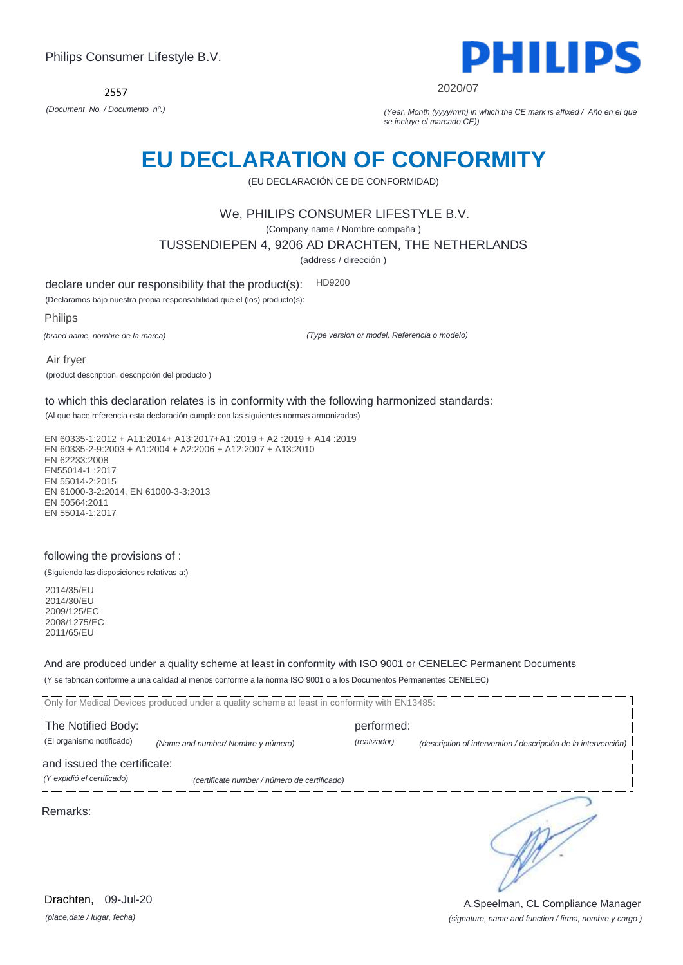

2020/07

*(Document No. / Documento nº.) (Year, Month (yyyy/mm) in which the CE mark is affixed / Año en el que se incluye el marcado CE))*

# **EU DECLARATION OF CONFORMITY**

(EU DECLARACIÓN CE DE CONFORMIDAD)

### We, PHILIPS CONSUMER LIFESTYLE B.V.

(Company name / Nombre compaña )

TUSSENDIEPEN 4, 9206 AD DRACHTEN, THE NETHERLANDS

(address / dirección )

declare under our responsibility that the product(s): HD9200

(Declaramos bajo nuestra propia responsabilidad que el (los) producto(s):

Philips

*(brand name, nombre de la marca)*

*(Type version or model, Referencia o modelo)*

Air fryer (product description, descripción del producto )

to which this declaration relates is in conformity with the following harmonized standards:

(Al que hace referencia esta declaración cumple con las siguientes normas armonizadas)

EN 60335-1:2012 + A11:2014+ A13:2017+A1 :2019 + A2 :2019 + A14 :2019 EN 60335-2-9:2003 + A1:2004 + A2:2006 + A12:2007 + A13:2010 EN 62233:2008 EN55014-1 :2017 EN 55014-2:2015 EN 61000-3-2:2014, EN 61000-3-3:2013 EN 50564:2011 EN 55014-1:2017

### following the provisions of :

(Siguiendo las disposiciones relativas a:)

2014/35/EU 2014/30/EU 2009/125/EC 2008/1275/EC 2011/65/EU

And are produced under a quality scheme at least in conformity with ISO 9001 or CENELEC Permanent Documents (Y se fabrican conforme a una calidad al menos conforme a la norma ISO 9001 o a los Documentos Permanentes CENELEC)

Only for Medical Devices produced under a quality scheme at least in conformity with EN13485: **The Notified Body: performed:** (El organismo notificado) *(Name and number/ Nombre y número) (realizador) (description of intervention / descripción de la intervención)*  and issued the certificate: *(Y expidió el certificado) (certificate number / número de certificado)* ∍ Remarks:

*(place,date / lugar, fecha)* Drachten, 09-Jul-20

*(signature, name and function / firma, nombre y cargo )* A.Speelman, CL Compliance Manager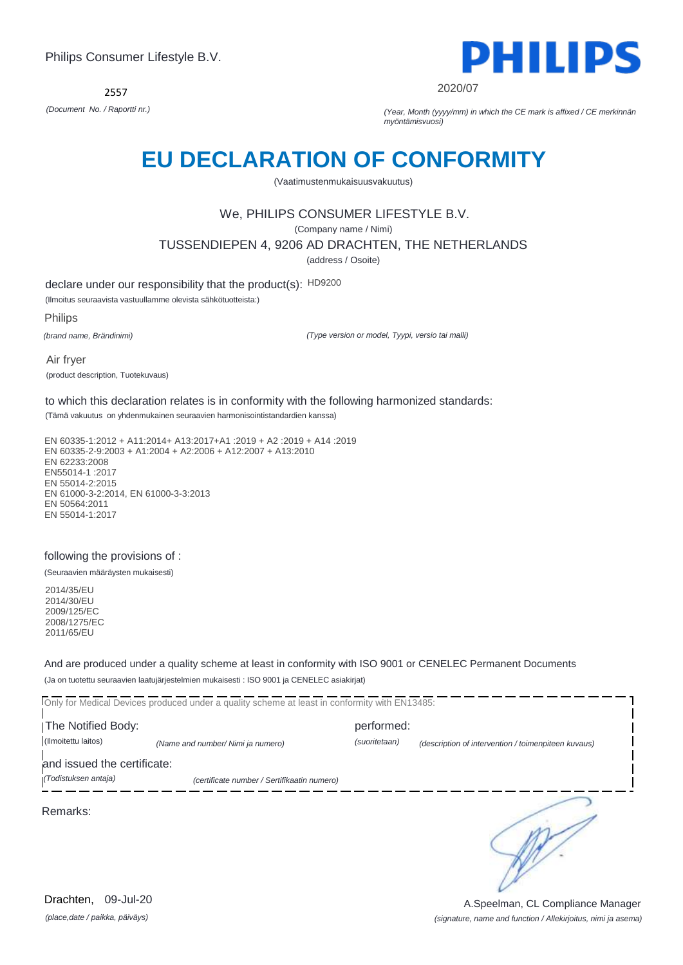2557



2020/07

*(Document No. / Raportti nr.) (Year, Month (yyyy/mm) in which the CE mark is affixed / CE merkinnän myöntämisvuosi)*

# **EU DECLARATION OF CONFORMITY**

(Vaatimustenmukaisuusvakuutus)

## We, PHILIPS CONSUMER LIFESTYLE B.V.

(Company name / Nimi)

TUSSENDIEPEN 4, 9206 AD DRACHTEN, THE NETHERLANDS

(address / Osoite)

declare under our responsibility that the product(s): HD9200

(Ilmoitus seuraavista vastuullamme olevista sähkötuotteista:)

Philips

*(brand name, Brändinimi)*

*(Type version or model, Tyypi, versio tai malli)*

Air fryer (product description, Tuotekuvaus)

to which this declaration relates is in conformity with the following harmonized standards:

(Tämä vakuutus on yhdenmukainen seuraavien harmonisointistandardien kanssa)

EN 60335-1:2012 + A11:2014+ A13:2017+A1 :2019 + A2 :2019 + A14 :2019 EN 60335-2-9:2003 + A1:2004 + A2:2006 + A12:2007 + A13:2010 EN 62233:2008 EN55014-1 :2017 EN 55014-2:2015 EN 61000-3-2:2014, EN 61000-3-3:2013 EN 50564:2011 EN 55014-1:2017

### following the provisions of :

(Seuraavien määräysten mukaisesti)

2014/35/EU 2014/30/EU 2009/125/EC 2008/1275/EC 2011/65/EU

And are produced under a quality scheme at least in conformity with ISO 9001 or CENELEC Permanent Documents (Ja on tuotettu seuraavien laatujärjestelmien mukaisesti : ISO 9001 ja CENELEC asiakirjat)

Only for Medical Devices produced under a quality scheme at least in conformity with EN13485: **The Notified Body: performed:** (Ilmoitettu laitos) *(Name and number/ Nimi ja numero) (suoritetaan) (description of intervention / toimenpiteen kuvaus)*  and issued the certificate: *(Todistuksen antaja) (certificate number / Sertifikaatin numero)* ∍ Remarks:

*(place,date / paikka, päiväys)* Drachten, 09-Jul-20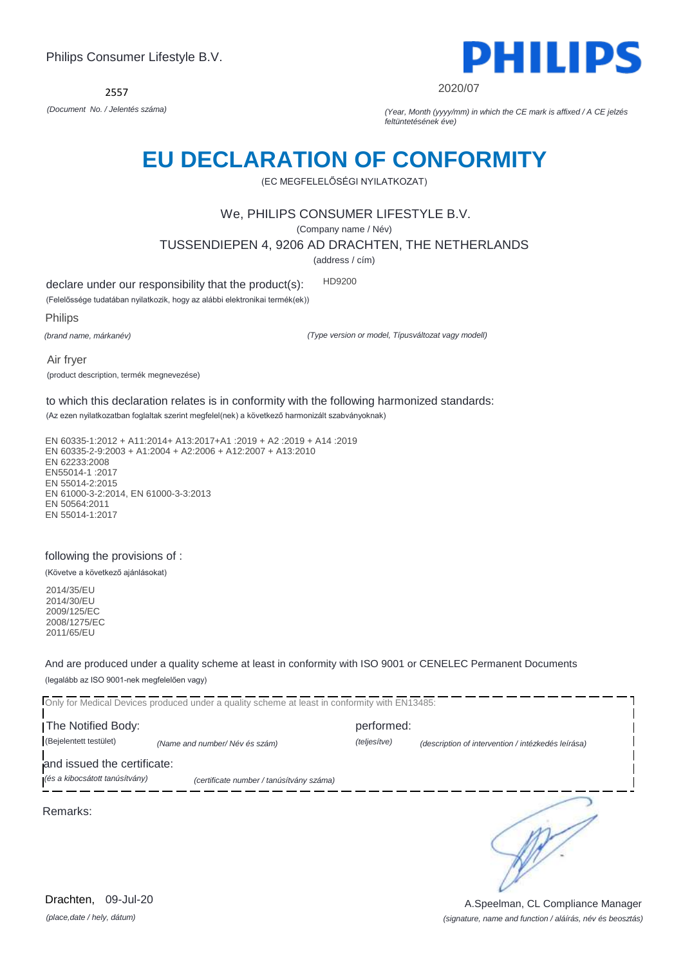2557



2020/07

*(Document No. / Jelentés száma) (Year, Month (yyyy/mm) in which the CE mark is affixed / A CE jelzés feltüntetésének éve)*

# **EU DECLARATION OF CONFORMITY**

(EC MEGFELELŐSÉGI NYILATKOZAT)

### We, PHILIPS CONSUMER LIFESTYLE B.V.

(Company name / Név)

TUSSENDIEPEN 4, 9206 AD DRACHTEN, THE NETHERLANDS

(address / cím)

declare under our responsibility that the product(s): HD9200

(Felelőssége tudatában nyilatkozik, hogy az alábbi elektronikai termék(ek))

Philips

*(brand name, márkanév)*

*(Type version or model, Típusváltozat vagy modell)*

Air fryer (product description, termék megnevezése)

to which this declaration relates is in conformity with the following harmonized standards:

(Az ezen nyilatkozatban foglaltak szerint megfelel(nek) a következő harmonizált szabványoknak)

EN 60335-1:2012 + A11:2014+ A13:2017+A1 :2019 + A2 :2019 + A14 :2019 EN 60335-2-9:2003 + A1:2004 + A2:2006 + A12:2007 + A13:2010 EN 62233:2008 EN55014-1 :2017 EN 55014-2:2015 EN 61000-3-2:2014, EN 61000-3-3:2013 EN 50564:2011 EN 55014-1:2017

#### following the provisions of :

(Követve a következő ajánlásokat)

2014/35/EU 2014/30/EU 2009/125/EC 2008/1275/EC 2011/65/EU

And are produced under a quality scheme at least in conformity with ISO 9001 or CENELEC Permanent Documents (legalább az ISO 9001-nek megfelelően vagy)

Only for Medical Devices produced under a quality scheme at least in conformity with EN13485: The Notified Body: example and performed: performed: (Bejelentett testület) *(Name and number/ Név és szám) (teljesítve) (description of intervention / intézkedés leírása)*  and issued the certificate: *(és a kibocsátott tanúsítvány) (certificate number / tanúsítvány száma)* ∍ Remarks:

*(place,date / hely, dátum)* Drachten, 09-Jul-20

*(signature, name and function / aláírás, név és beosztás)* A.Speelman, CL Compliance Manager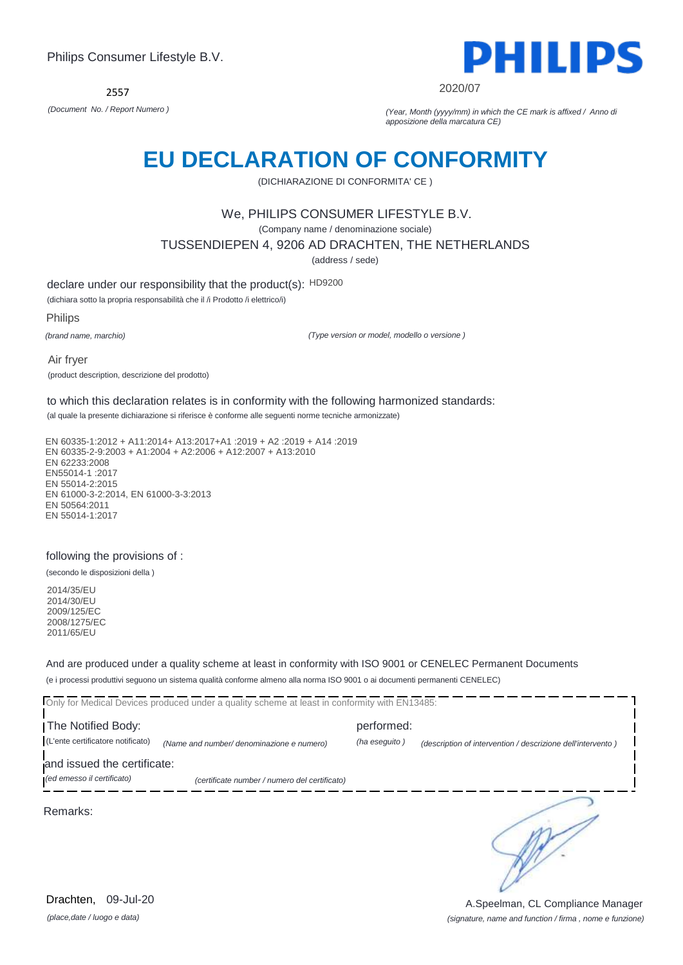

#### 2020/07

*(Document No. / Report Numero ) (Year, Month (yyyy/mm) in which the CE mark is affixed / Anno di apposizione della marcatura CE)*

## **EU DECLARATION OF CONFORMITY**

(DICHIARAZIONE DI CONFORMITA' CE )

### We, PHILIPS CONSUMER LIFESTYLE B.V.

(Company name / denominazione sociale)

TUSSENDIEPEN 4, 9206 AD DRACHTEN, THE NETHERLANDS

(address / sede)

declare under our responsibility that the product(s): HD9200

(dichiara sotto la propria responsabilità che il /i Prodotto /i elettrico/i)

Philips

*(brand name, marchio)*

*(Type version or model, modello o versione )*

Air fryer (product description, descrizione del prodotto)

to which this declaration relates is in conformity with the following harmonized standards:

(al quale la presente dichiarazione si riferisce è conforme alle seguenti norme tecniche armonizzate)

EN 60335-1:2012 + A11:2014+ A13:2017+A1 :2019 + A2 :2019 + A14 :2019 EN 60335-2-9:2003 + A1:2004 + A2:2006 + A12:2007 + A13:2010 EN 62233:2008 EN55014-1 :2017 EN 55014-2:2015 EN 61000-3-2:2014, EN 61000-3-3:2013 EN 50564:2011 EN 55014-1:2017

#### following the provisions of :

(secondo le disposizioni della )

2014/35/EU 2014/30/EU 2009/125/EC 2008/1275/EC 2011/65/EU

And are produced under a quality scheme at least in conformity with ISO 9001 or CENELEC Permanent Documents (e i processi produttivi seguono un sistema qualità conforme almeno alla norma ISO 9001 o ai documenti permanenti CENELEC)

Only for Medical Devices produced under a quality scheme at least in conformity with EN13485: The Notified Body: performed: (L'ente certificatore notificato) *(Name and number/ denominazione e numero) (ha eseguito ) (description of intervention / descrizione dell'intervento )*  and issued the certificate: *(ed emesso il certificato) (certificate number / numero del certificato)* כ Remarks:

*(place,date / luogo e data)* Drachten, 09-Jul-20

*(signature, name and function / firma , nome e funzione)* A.Speelman, CL Compliance Manager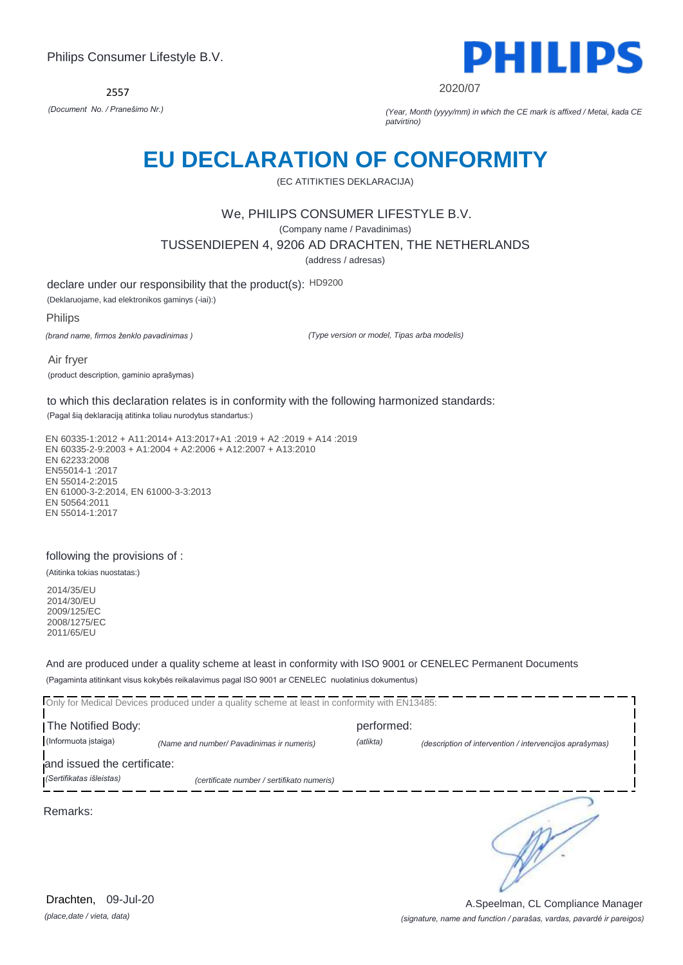2557



2020/07

*(Document No. / Pranešimo Nr.) (Year, Month (yyyy/mm) in which the CE mark is affixed / Metai, kada CE patvirtino)*

## **EU DECLARATION OF CONFORMITY**

(EC ATITIKTIES DEKLARACIJA)

### We, PHILIPS CONSUMER LIFESTYLE B.V.

(Company name / Pavadinimas)

TUSSENDIEPEN 4, 9206 AD DRACHTEN, THE NETHERLANDS

(address / adresas)

declare under our responsibility that the product(s): HD9200

(Deklaruojame, kad elektronikos gaminys (-iai):)

Philips

*(brand name, firmos ženklo pavadinimas )*

*(Type version or model, Tipas arba modelis)*

Air fryer (product description, gaminio aprašymas)

to which this declaration relates is in conformity with the following harmonized standards:

(Pagal šią deklaraciją atitinka toliau nurodytus standartus:)

EN 60335-1:2012 + A11:2014+ A13:2017+A1 :2019 + A2 :2019 + A14 :2019 EN 60335-2-9:2003 + A1:2004 + A2:2006 + A12:2007 + A13:2010 EN 62233:2008 EN55014-1 :2017 EN 55014-2:2015 EN 61000-3-2:2014, EN 61000-3-3:2013 EN 50564:2011 EN 55014-1:2017

#### following the provisions of :

(Atitinka tokias nuostatas:)

2014/35/EU 2014/30/EU 2009/125/EC 2008/1275/EC 2011/65/EU

And are produced under a quality scheme at least in conformity with ISO 9001 or CENELEC Permanent Documents (Pagaminta atitinkant visus kokybės reikalavimus pagal ISO 9001 ar CENELEC nuolatinius dokumentus)

Only for Medical Devices produced under a quality scheme at least in conformity with EN13485: The Notified Body: performed: (Informuota įstaiga) *(Name and number/ Pavadinimas ir numeris) (atlikta) (description of intervention / intervencijos aprašymas)*  and issued the certificate: *(Sertifikatas išleistas) (certificate number / sertifikato numeris)* כ Remarks:

*(place,date / vieta, data)* Drachten, 09-Jul-20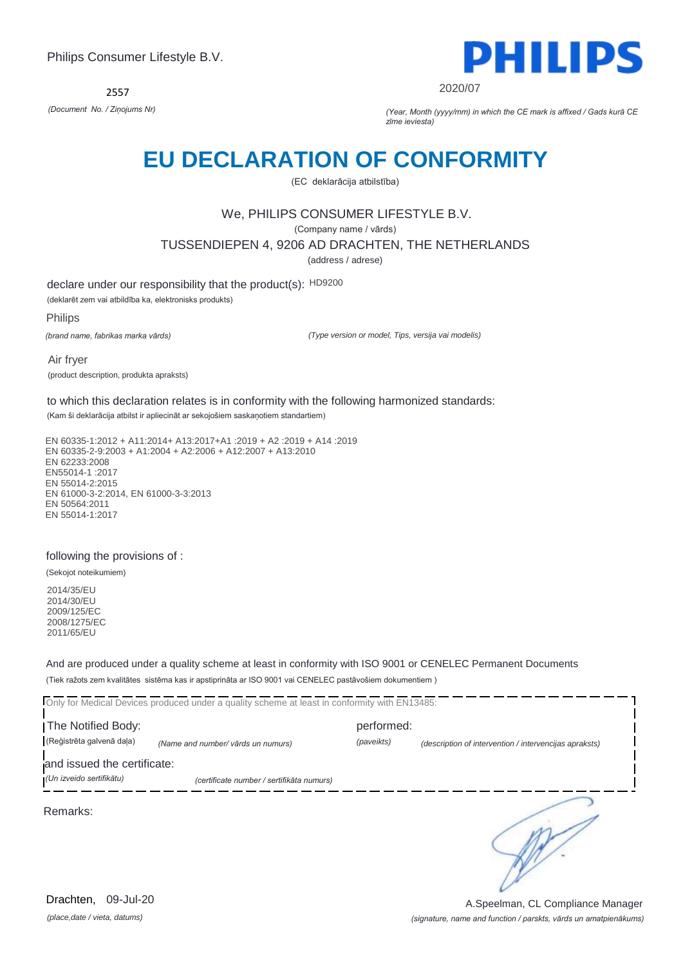2557



2020/07

*(Document No. / Ziņojums Nr) (Year, Month (yyyy/mm) in which the CE mark is affixed / Gads kurā CE zīme ieviesta)*

## **EU DECLARATION OF CONFORMITY**

(EC deklarācija atbilstība)

## We, PHILIPS CONSUMER LIFESTYLE B.V.

(Company name / vārds)

TUSSENDIEPEN 4, 9206 AD DRACHTEN, THE NETHERLANDS

(address / adrese)

declare under our responsibility that the product(s): HD9200

(deklarēt zem vai atbildība ka, elektronisks produkts)

Philips

*(brand name, fabrikas marka vārds)*

*(Type version or model, Tips, versija vai modelis)*

Air fryer (product description, produkta apraksts)

to which this declaration relates is in conformity with the following harmonized standards:

(Kam ši deklarācija atbilst ir apliecināt ar sekojošiem saskaņotiem standartiem)

EN 60335-1:2012 + A11:2014+ A13:2017+A1 :2019 + A2 :2019 + A14 :2019 EN 60335-2-9:2003 + A1:2004 + A2:2006 + A12:2007 + A13:2010 EN 62233:2008 EN55014-1 :2017 EN 55014-2:2015 EN 61000-3-2:2014, EN 61000-3-3:2013 EN 50564:2011 EN 55014-1:2017

#### following the provisions of :

(Sekojot noteikumiem)

2014/35/EU 2014/30/EU 2009/125/EC 2008/1275/EC 2011/65/EU

And are produced under a quality scheme at least in conformity with ISO 9001 or CENELEC Permanent Documents (Tiek ražots zem kvalitātes sistēma kas ir apstiprināta ar ISO 9001 vai CENELEC pastāvošiem dokumentiem )

Only for Medical Devices produced under a quality scheme at least in conformity with EN13485: The Notified Body: performed: (Reģistrēta galvenā daļa) *(Name and number/ vārds un numurs) (paveikts) (description of intervention / intervencijas apraksts)*  and issued the certificate: *(Un izveido sertifikātu) (certificate number / sertifikāta numurs)* כ Remarks:

*(place,date / vieta, datums)* Drachten, 09-Jul-20

#### *(signature, name and function / parskts, vārds un amatpienākums)* A.Speelman, CL Compliance Manager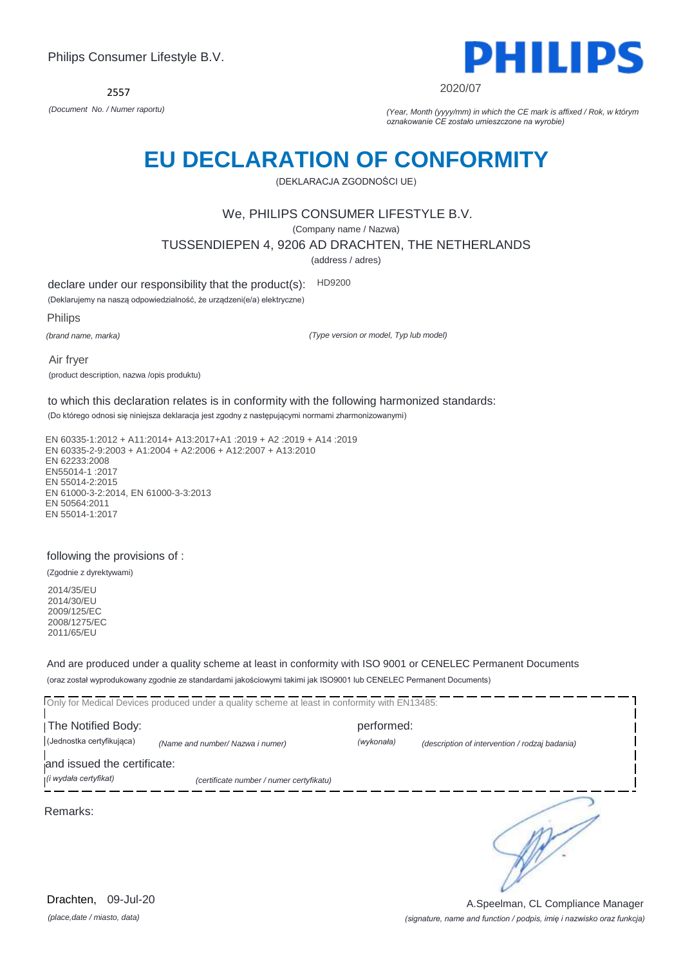

2020/07

*(Document No. / Numer raportu) (Year, Month (yyyy/mm) in which the CE mark is affixed / Rok, w którym oznakowanie CE zostało umieszczone na wyrobie)*

# **EU DECLARATION OF CONFORMITY**

(DEKLARACJA ZGODNOŚCI UE)

### We, PHILIPS CONSUMER LIFESTYLE B.V.

(Company name / Nazwa)

TUSSENDIEPEN 4, 9206 AD DRACHTEN, THE NETHERLANDS

(address / adres)

declare under our responsibility that the product(s): HD9200

(Deklarujemy na naszą odpowiedzialność, że urządzeni(e/a) elektryczne)

Philips

*(brand name, marka)*

*(Type version or model, Typ lub model)*

Air fryer (product description, nazwa /opis produktu)

to which this declaration relates is in conformity with the following harmonized standards:

(Do którego odnosi się niniejsza deklaracja jest zgodny z następującymi normami zharmonizowanymi)

EN 60335-1:2012 + A11:2014+ A13:2017+A1 :2019 + A2 :2019 + A14 :2019 EN 60335-2-9:2003 + A1:2004 + A2:2006 + A12:2007 + A13:2010 EN 62233:2008 EN55014-1 :2017 EN 55014-2:2015 EN 61000-3-2:2014, EN 61000-3-3:2013 EN 50564:2011 EN 55014-1:2017

#### following the provisions of :

(Zgodnie z dyrektywami)

2014/35/EU 2014/30/EU 2009/125/EC 2008/1275/EC 2011/65/EU

And are produced under a quality scheme at least in conformity with ISO 9001 or CENELEC Permanent Documents (oraz został wyprodukowany zgodnie ze standardami jakościowymi takimi jak ISO9001 lub CENELEC Permanent Documents)

Only for Medical Devices produced under a quality scheme at least in conformity with EN13485: The Notified Body: performed: (Jednostka certyfikująca) *(Name and number/ Nazwa i numer) (wykonała) (description of intervention / rodzaj badania)*  and issued the certificate: *(i wydała certyfikat) (certificate number / numer certyfikatu)* ∍ Remarks:

*(place,date / miasto, data)* Drachten, 09-Jul-20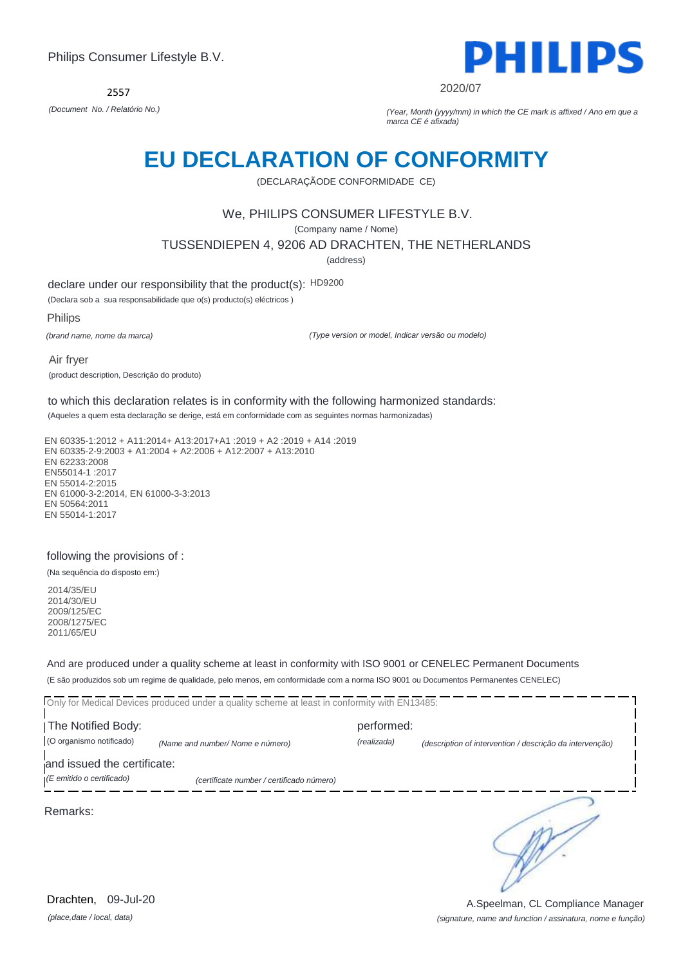

2020/07

*(Document No. / Relatório No.) (Year, Month (yyyy/mm) in which the CE mark is affixed / Ano em que a marca CE é afixada)*

## **EU DECLARATION OF CONFORMITY**

(DECLARAÇÃODE CONFORMIDADE CE)

## We, PHILIPS CONSUMER LIFESTYLE B.V.

(Company name / Nome)

TUSSENDIEPEN 4, 9206 AD DRACHTEN, THE NETHERLANDS

(address)

declare under our responsibility that the product(s): HD9200

(Declara sob a sua responsabilidade que o(s) producto(s) eléctricos )

Philips

*(brand name, nome da marca)*

*(Type version or model, Indicar versão ou modelo)*

Air fryer (product description, Descrição do produto)

to which this declaration relates is in conformity with the following harmonized standards:

(Aqueles a quem esta declaração se derige, está em conformidade com as seguintes normas harmonizadas)

EN 60335-1:2012 + A11:2014+ A13:2017+A1 :2019 + A2 :2019 + A14 :2019 EN 60335-2-9:2003 + A1:2004 + A2:2006 + A12:2007 + A13:2010 EN 62233:2008 EN55014-1 :2017 EN 55014-2:2015 EN 61000-3-2:2014, EN 61000-3-3:2013 EN 50564:2011 EN 55014-1:2017

#### following the provisions of :

(Na sequência do disposto em:)

2014/35/EU 2014/30/EU 2009/125/EC 2008/1275/EC 2011/65/EU

And are produced under a quality scheme at least in conformity with ISO 9001 or CENELEC Permanent Documents (E são produzidos sob um regime de qualidade, pelo menos, em conformidade com a norma ISO 9001 ou Documentos Permanentes CENELEC)

Only for Medical Devices produced under a quality scheme at least in conformity with EN13485: The Notified Body: performed: (O organismo notificado) *(Name and number/ Nome e número) (realizada) (description of intervention / descrição da intervenção)*  and issued the certificate: *(E emitido o certificado) (certificate number / certificado número)* ∍ Remarks:

*(place,date / local, data)* Drachten, 09-Jul-20

## *(signature, name and function / assinatura, nome e função)* A.Speelman, CL Compliance Manager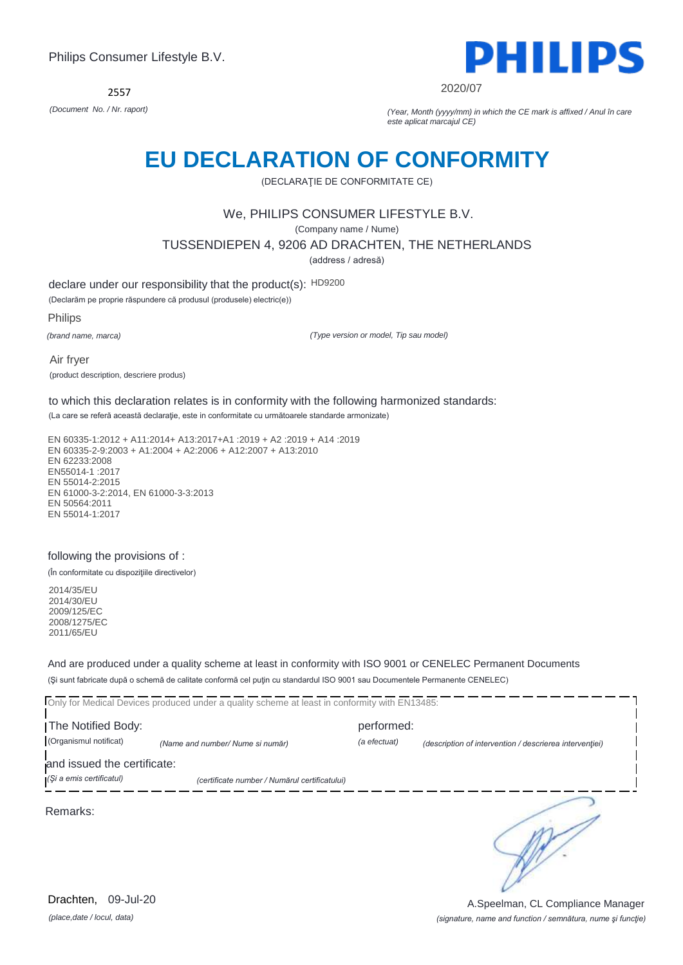2557



2020/07

*(Document No. / Nr. raport) (Year, Month (yyyy/mm) in which the CE mark is affixed / Anul în care este aplicat marcajul CE)*

## **EU DECLARATION OF CONFORMITY**

(DECLARAŢIE DE CONFORMITATE CE)

### We, PHILIPS CONSUMER LIFESTYLE B.V.

(Company name / Nume)

TUSSENDIEPEN 4, 9206 AD DRACHTEN, THE NETHERLANDS

(address / adresă)

declare under our responsibility that the product(s): HD9200

(Declarăm pe proprie răspundere că produsul (produsele) electric(e))

Philips

*(brand name, marca)*

*(Type version or model, Tip sau model)*

Air fryer (product description, descriere produs)

to which this declaration relates is in conformity with the following harmonized standards:

(La care se referă această declaraţie, este in conformitate cu următoarele standarde armonizate)

EN 60335-1:2012 + A11:2014+ A13:2017+A1 :2019 + A2 :2019 + A14 :2019 EN 60335-2-9:2003 + A1:2004 + A2:2006 + A12:2007 + A13:2010 EN 62233:2008 EN55014-1 :2017 EN 55014-2:2015 EN 61000-3-2:2014, EN 61000-3-3:2013 EN 50564:2011 EN 55014-1:2017

#### following the provisions of :

(În conformitate cu dispoziţiile directivelor)

2014/35/EU 2014/30/EU 2009/125/EC 2008/1275/EC 2011/65/EU

And are produced under a quality scheme at least in conformity with ISO 9001 or CENELEC Permanent Documents (Şi sunt fabricate după o schemă de calitate conformă cel puţin cu standardul ISO 9001 sau Documentele Permanente CENELEC)

|                             | Only for Medical Devices produced under a quality scheme at least in conformity with EN13485: |              |                                                         |  |  |
|-----------------------------|-----------------------------------------------------------------------------------------------|--------------|---------------------------------------------------------|--|--|
| The Notified Body:          |                                                                                               | performed:   |                                                         |  |  |
| (Organismul notificat)      | (Name and number/ Nume si număr)                                                              | (a efectuat) | (description of intervention / descrierea interventiei) |  |  |
| and issued the certificate: |                                                                                               |              |                                                         |  |  |
| (Si a emis certificatul)    | (certificate number / Numărul certificatului)                                                 |              |                                                         |  |  |
| Remarks:                    |                                                                                               |              |                                                         |  |  |

*(place,date / locul, data)* Drachten, 09-Jul-20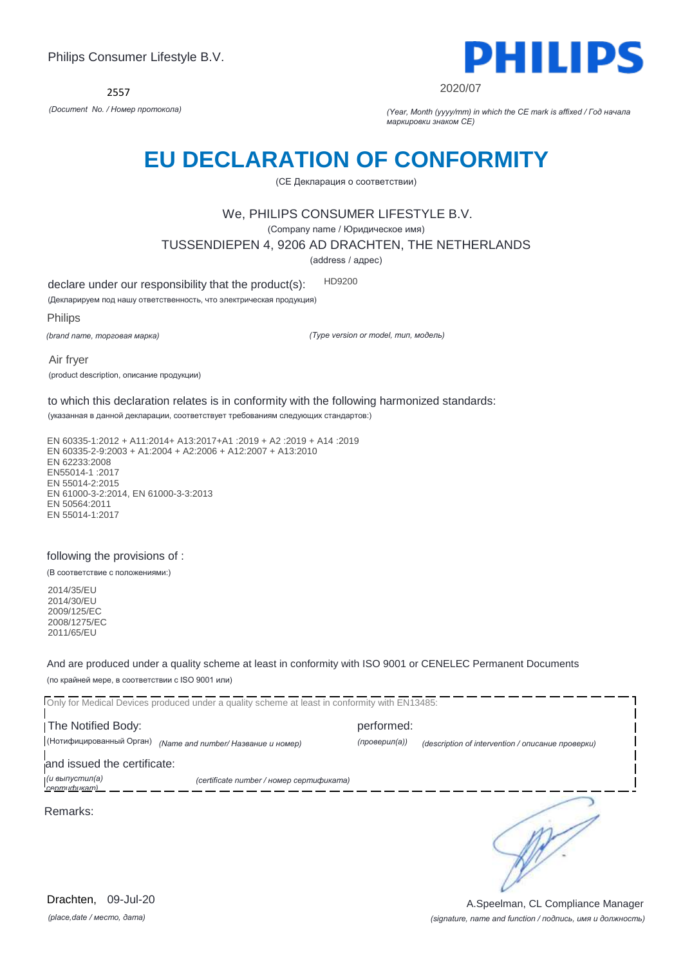

2020/07

*(Document No. / Номер протокола) (Year, Month (yyyy/mm) in which the CE mark is affixed / Год начала маркировки знаком CE)*

## **EU DECLARATION OF CONFORMITY**

(CE Декларация о соответствии)

### We, PHILIPS CONSUMER LIFESTYLE B.V.

(Company name / Юридическое имя)

TUSSENDIEPEN 4, 9206 AD DRACHTEN, THE NETHERLANDS

(address / адрес)

declare under our responsibility that the product(s): HD9200

(Декларируем под нашу ответственность, что электрическая продукция)

Philips

*(brand name, торговая марка)*

*(Type version or model, тип, модель)*

Air fryer (product description, описание продукции)

to which this declaration relates is in conformity with the following harmonized standards:

(указанная в данной декларации, соответствует требованиям следующих стандартов:)

EN 60335-1:2012 + A11:2014+ A13:2017+A1 :2019 + A2 :2019 + A14 :2019 EN 60335-2-9:2003 + A1:2004 + A2:2006 + A12:2007 + A13:2010 EN 62233:2008 EN55014-1 :2017 EN 55014-2:2015 EN 61000-3-2:2014, EN 61000-3-3:2013 EN 50564:2011 EN 55014-1:2017

#### following the provisions of :

(В соответствие с положениями:)

2014/35/EU 2014/30/EU 2009/125/EC 2008/1275/EC 2011/65/EU

And are produced under a quality scheme at least in conformity with ISO 9001 or CENELEC Permanent Documents (по крайней мере, в соответствии с ISO 9001 или)

Only for Medical Devices produced under a quality scheme at least in conformity with EN13485: The Notified Body: performed: (Нотифицированный Орган) *(Name and number/ Название и номер) (проверил(а)) (description of intervention / описание проверки)*  and issued the certificate: *(и выпустил(а) (certificate number / номер сертификата) сертификат)* ∍ Remarks:

*(place,date / место, дата)* Drachten, 09-Jul-20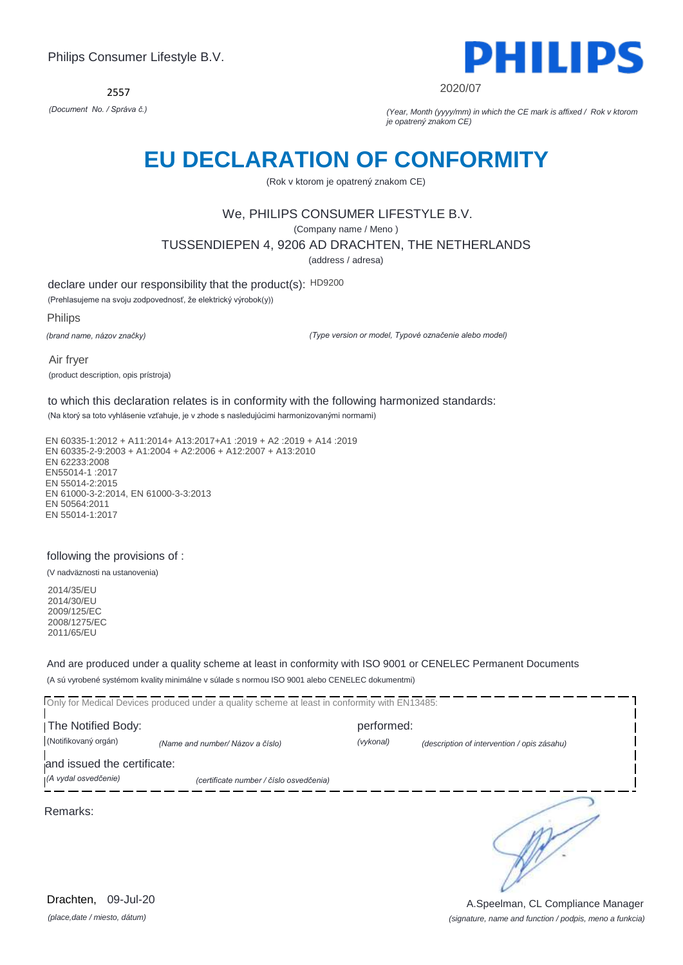2557



#### 2020/07

*(Document No. / Správa č.) (Year, Month (yyyy/mm) in which the CE mark is affixed / Rok v ktorom je opatrený znakom CE)*

## **EU DECLARATION OF CONFORMITY**

(Rok v ktorom je opatrený znakom CE)

## We, PHILIPS CONSUMER LIFESTYLE B.V.

(Company name / Meno )

TUSSENDIEPEN 4, 9206 AD DRACHTEN, THE NETHERLANDS

(address / adresa)

declare under our responsibility that the product(s): HD9200

(Prehlasujeme na svoju zodpovednosť, že elektrický výrobok(y))

Philips

*(brand name, názov značky)*

*(Type version or model, Typové označenie alebo model)*

Air fryer (product description, opis prístroja)

to which this declaration relates is in conformity with the following harmonized standards:

(Na ktorý sa toto vyhlásenie vzťahuje, je v zhode s nasledujúcimi harmonizovanými normami)

EN 60335-1:2012 + A11:2014+ A13:2017+A1 :2019 + A2 :2019 + A14 :2019 EN 60335-2-9:2003 + A1:2004 + A2:2006 + A12:2007 + A13:2010 EN 62233:2008 EN55014-1 :2017 EN 55014-2:2015 EN 61000-3-2:2014, EN 61000-3-3:2013 EN 50564:2011 EN 55014-1:2017

#### following the provisions of :

(V nadväznosti na ustanovenia)

2014/35/EU 2014/30/EU 2009/125/EC 2008/1275/EC 2011/65/EU

And are produced under a quality scheme at least in conformity with ISO 9001 or CENELEC Permanent Documents (A sú vyrobené systémom kvality minimálne v súlade s normou ISO 9001 alebo CENELEC dokumentmi)

Only for Medical Devices produced under a quality scheme at least in conformity with EN13485: The Notified Body: performed: (Notifikovaný orgán) *(Name and number/ Názov a číslo) (vykonal) (description of intervention / opis zásahu)*  and issued the certificate: *(A vydal osvedčenie) (certificate number / číslo osvedčenia)* ∍ Remarks:

*(place,date / miesto, dátum)* Drachten, 09-Jul-20

*(signature, name and function / podpis, meno a funkcia)* A.Speelman, CL Compliance Manager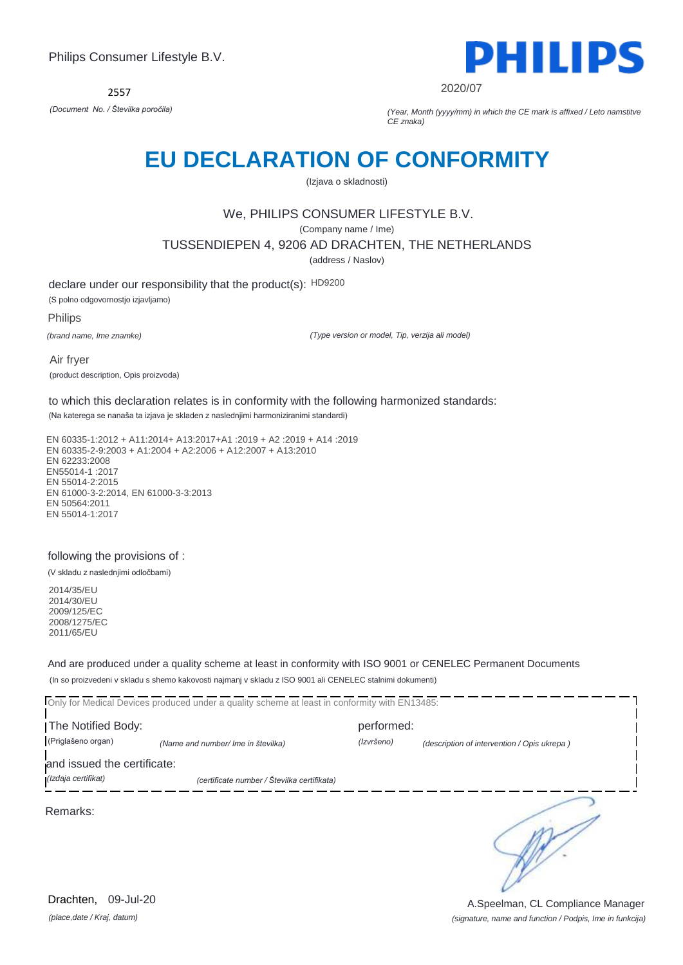

2020/07

*(Document No. / Številka poročila) (Year, Month (yyyy/mm) in which the CE mark is affixed / Leto namstitve CE znaka)*

## **EU DECLARATION OF CONFORMITY**

(Izjava o skladnosti)

## We, PHILIPS CONSUMER LIFESTYLE B.V.

(Company name / Ime)

TUSSENDIEPEN 4, 9206 AD DRACHTEN, THE NETHERLANDS

(address / Naslov)

declare under our responsibility that the product(s): HD9200 (S polno odgovornostjo izjavljamo)

Philips

*(brand name, Ime znamke)*

*(Type version or model, Tip, verzija ali model)*

Air fryer (product description, Opis proizvoda)

to which this declaration relates is in conformity with the following harmonized standards:

(Na katerega se nanaša ta izjava je skladen z naslednjimi harmoniziranimi standardi)

EN 60335-1:2012 + A11:2014+ A13:2017+A1 :2019 + A2 :2019 + A14 :2019 EN 60335-2-9:2003 + A1:2004 + A2:2006 + A12:2007 + A13:2010 EN 62233:2008 EN55014-1 :2017 EN 55014-2:2015 EN 61000-3-2:2014, EN 61000-3-3:2013 EN 50564:2011 EN 55014-1:2017

### following the provisions of :

(V skladu z naslednjimi odločbami)

2014/35/EU 2014/30/EU 2009/125/EC 2008/1275/EC 2011/65/EU

And are produced under a quality scheme at least in conformity with ISO 9001 or CENELEC Permanent Documents (In so proizvedeni v skladu s shemo kakovosti najmanj v skladu z ISO 9001 ali CENELEC stalnimi dokumenti)

Only for Medical Devices produced under a quality scheme at least in conformity with EN13485: The Notified Body: performed: (Priglašeno organ) *(Name and number/ Ime in številka) (Izvršeno) (description of intervention / Opis ukrepa )*  and issued the certificate: *(Izdaja certifikat) (certificate number / Številka certifikata)* ∍ Remarks:

*(place,date / Kraj, datum)* Drachten, 09-Jul-20

*(signature, name and function / Podpis, Ime in funkcija)* A.Speelman, CL Compliance Manager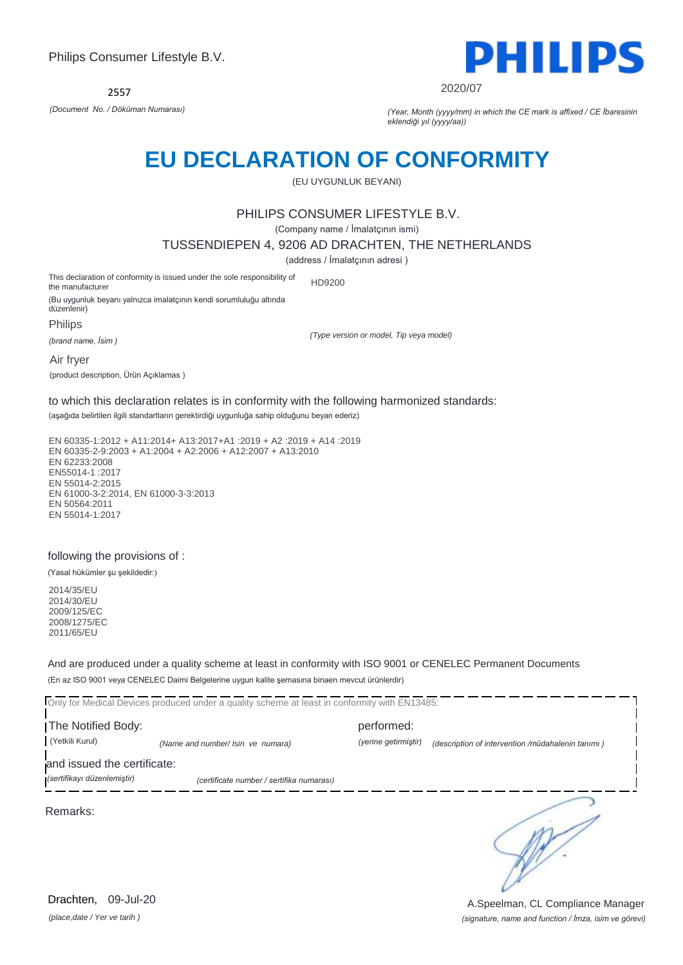

2020/07

*(Document No. / Döküman Numarası) (Year, Month (yyyy/mm) in which the CE mark is affixed / CE İbaresinin eklendiği yıl (yyyy/aa))*

## **EU DECLARATION OF CONFORMITY**

(EU UYGUNLUK BEYANI)

### PHILIPS CONSUMER LIFESTYLE B.V.

(Company name / İmalatçının ismi)

TUSSENDIEPEN 4, 9206 AD DRACHTEN, THE NETHERLANDS

(address / İmalatçının adresi )

This declaration of conformity is issued under the sole responsibility of the manufacturer HD9200

(Bu uygunluk beyanı yalnızca imalatçının kendi sorumluluğu altında düzenlenir) **Philips** 

*(brand name, İsim )*

*(Type version or model, Tip veya model)*

Air fryer

(product description, Ürün Açıklamas )

to which this declaration relates is in conformity with the following harmonized standards:

(aşağıda belirtilen ilgili standartların gerektirdiği uygunluğa sahip olduğunu beyan ederiz)

EN 60335-1:2012 + A11:2014+ A13:2017+A1 :2019 + A2 :2019 + A14 :2019 EN 60335-2-9:2003 + A1:2004 + A2:2006 + A12:2007 + A13:2010 EN 62233:2008 EN55014-1 :2017 EN 55014-2:2015 EN 61000-3-2:2014, EN 61000-3-3:2013 EN 50564:2011 EN 55014-1:2017

#### following the provisions of :

(Yasal hükümler şu şekildedir:)

2014/35/EU 2014/30/EU 2009/125/EC 2008/1275/EC 2011/65/EU

And are produced under a quality scheme at least in conformity with ISO 9001 or CENELEC Permanent Documents (En az ISO 9001 veya CENELEC Daimi Belgelerine uygun kalite şemasına binaen mevcut ürünlerdir)

Only for Medical Devices produced under a quality scheme at least in conformity with EN13485:

The Notified Body: performed: (Yetkili Kurul) *(Name and number/ Isin ve numara) (yerine getirmiştir) (description of intervention /müdahalenin tanımı )* 

and issued the certificate:

*(sertifikayı düzenlemiştir) (certificate number / sertifika numarası)*

Remarks:

*(place,date / Yer ve tarih )* Drachten, 09-Jul-20

∍

*(signature, name and function / İmza, isim ve görevi)* A.Speelman, CL Compliance Manager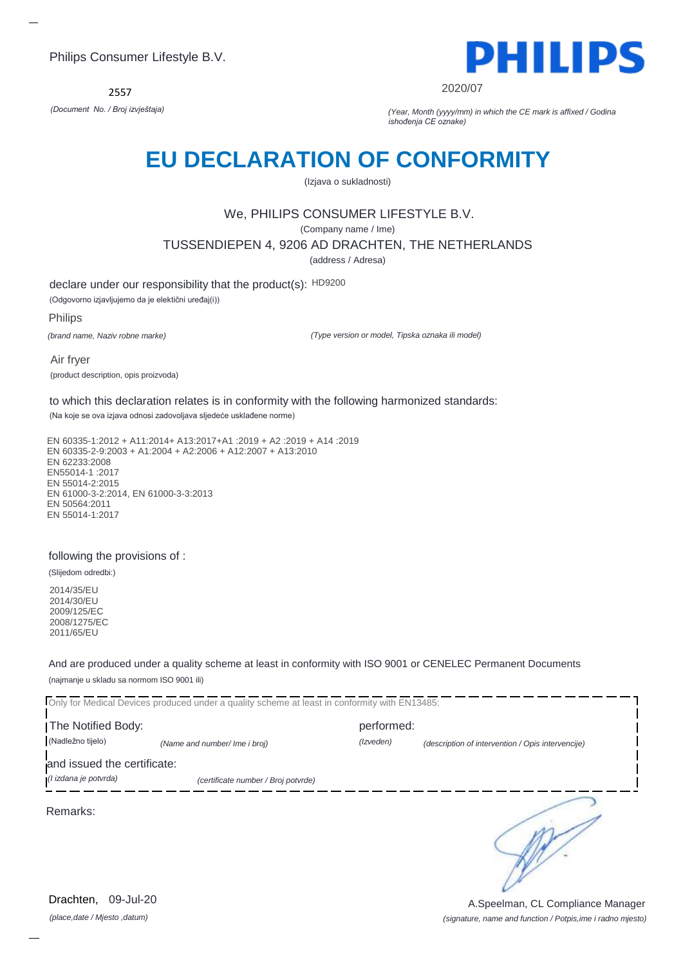2557



2020/07

*(Document No. / Broj izvještaja) (Year, Month (yyyy/mm) in which the CE mark is affixed / Godina ishođenja CE oznake)*

## **EU DECLARATION OF CONFORMITY**

(Izjava o sukladnosti)

## We, PHILIPS CONSUMER LIFESTYLE B.V.

(Company name / Ime)

TUSSENDIEPEN 4, 9206 AD DRACHTEN, THE NETHERLANDS

(address / Adresa)

declare under our responsibility that the product(s): HD9200

(Odgovorno izjavljujemo da je elektični uređaj(i))

Philips

*(brand name, Naziv robne marke)*

*(Type version or model, Tipska oznaka ili model)*

Air fryer (product description, opis proizvoda)

to which this declaration relates is in conformity with the following harmonized standards:

(Na koje se ova izjava odnosi zadovoljava sljedeće usklađene norme)

EN 60335-1:2012 + A11:2014+ A13:2017+A1 :2019 + A2 :2019 + A14 :2019 EN 60335-2-9:2003 + A1:2004 + A2:2006 + A12:2007 + A13:2010 EN 62233:2008 EN55014-1 :2017 EN 55014-2:2015 EN 61000-3-2:2014, EN 61000-3-3:2013 EN 50564:2011 EN 55014-1:2017

### following the provisions of :

(Slijedom odredbi:)

2014/35/EU 2014/30/EU 2009/125/EC 2008/1275/EC 2011/65/EU

And are produced under a quality scheme at least in conformity with ISO 9001 or CENELEC Permanent Documents (najmanje u skladu sa normom ISO 9001 ili)

Only for Medical Devices produced under a quality scheme at least in conformity with EN13485: I The Notified Body: The Notified Body: (Nadležno tijelo) *(Name and number/ Ime i broj) (Izveden) (description of intervention / Opis intervencije)*  and issued the certificate: *(I izdana je potvrda) (certificate number / Broj potvrde)* ∍ Remarks:

*(place,date / Mjesto ,datum)* Drachten, 09-Jul-20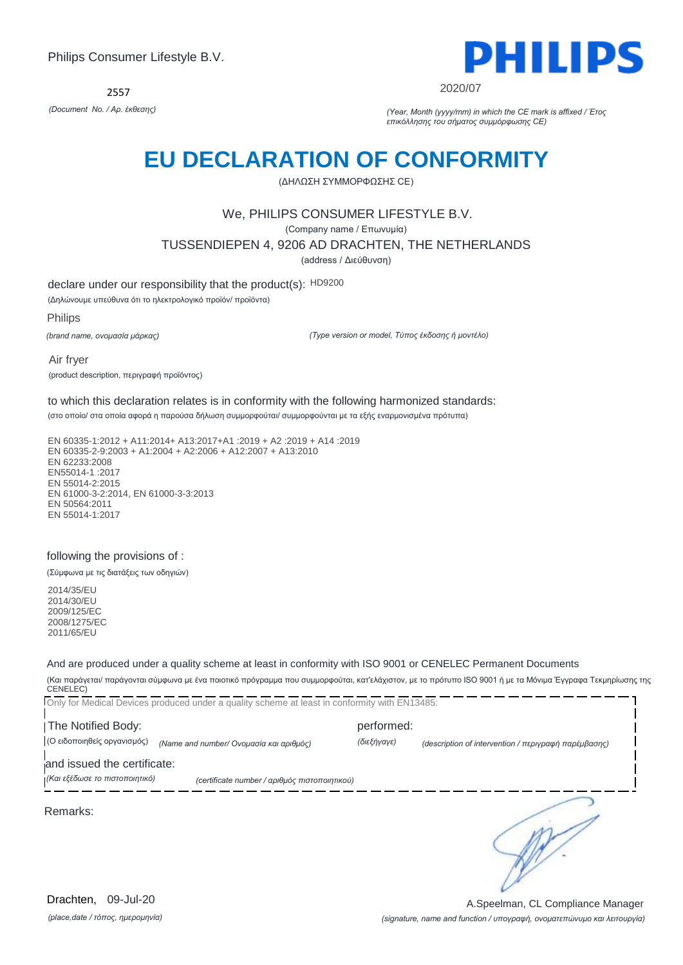2557



2020/07

*(Document No. / Αρ. έκθεσης) (Year, Month (yyyy/mm) in which the CE mark is affixed / Έτος επικόλλησης του σήματος συμμόρφωσης CE)*

## **EU DECLARATION OF CONFORMITY**

(ΔΗΛΩΣΗ ΣΥΜΜΟΡΦΩΣΗΣ CE)

### We, PHILIPS CONSUMER LIFESTYLE B.V.

(Company name / Επωνυμία)

TUSSENDIEPEN 4, 9206 AD DRACHTEN, THE NETHERLANDS

(address / Διεύθυνση)

declare under our responsibility that the product(s): HD9200

(Δηλώνουμε υπεύθυνα ότι το ηλεκτρολογικό προϊόν/ προϊόντα)

Philips

*(brand name, ονομασία μάρκας)*

*(Type version or model, Τύπος έκδοσης ή μοντέλο)*

Air fryer (product description, περιγραφή προϊόντος)

to which this declaration relates is in conformity with the following harmonized standards:

(στο οποίο/ στα οποία αφορά η παρούσα δήλωση συμμορφούται/ συμμορφούνται με τα εξής εναρμονισμένα πρότυπα)

EN 60335-1:2012 + A11:2014+ A13:2017+A1 :2019 + A2 :2019 + A14 :2019 EN 60335-2-9:2003 + A1:2004 + A2:2006 + A12:2007 + A13:2010 EN 62233:2008 EN55014-1 :2017 EN 55014-2:2015 EN 61000-3-2:2014, EN 61000-3-3:2013 EN 50564:2011 EN 55014-1:2017

#### following the provisions of :

(Σύμφωνα με τις διατάξεις των οδηγιών)

2014/35/EU 2014/30/EU 2009/125/EC 2008/1275/EC 2011/65/EU

And are produced under a quality scheme at least in conformity with ISO 9001 or CENELEC Permanent Documents

(Και παράγεται/ παράγονται σύμφωνα με ένα ποιοτικό πρόγραμμα που συμμορφούται, κατ'ελάχιστον, με το πρότυπο ISO 9001 ή με τα Μόνιμα Έγγραφα Τεκμηρίωσης της CENELEC)

Only for Medical Devices produced under a quality scheme at least in conformity with EN13485: The Notified Body: performed: (Ο ειδοποιηθείς οργανισμός) *(Name and number/ Ονομασία και αριθμός) (διεξήγαγε) (description of intervention / περιγραφή παρέμβασης)*  and issued the certificate: *(Και εξέδωσε το πιστοποιητικό) (certificate number / αριθμός πιστοποιητικού)* ∍ Remarks:

*(place,date / τόπος, ημερομηνία)* Drachten, 09-Jul-20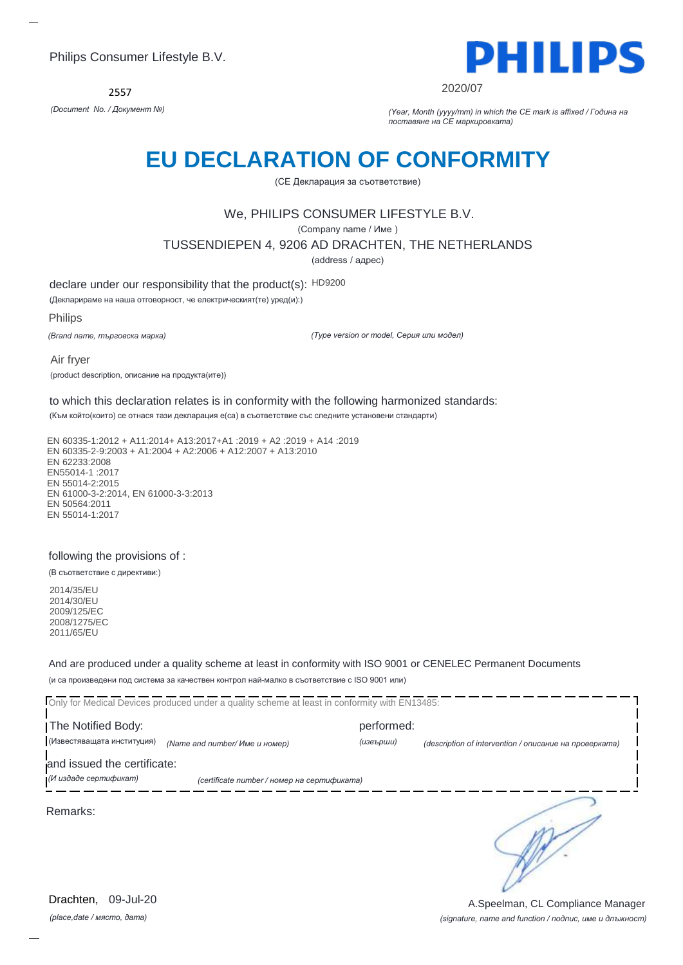2557



2020/07

*(Document No. / Документ №) (Year, Month (yyyy/mm) in which the CE mark is affixed / Година на поставяне на CE маркировката)*

# **EU DECLARATION OF CONFORMITY**

(CE Декларация за съответствие)

## We, PHILIPS CONSUMER LIFESTYLE B.V.

(Company name / Име )

TUSSENDIEPEN 4, 9206 AD DRACHTEN, THE NETHERLANDS

(address / адрес)

declare under our responsibility that the product(s): HD9200

(Декларираме на наша отговорност, че електрическият(те) уред(и):)

Philips

*(Brand name, търговска марка)*

*(Type version or model, Серия или модел)*

Air fryer (product description, описание на продукта(ите))

to which this declaration relates is in conformity with the following harmonized standards:

(Към който(които) се отнася тази декларация е(са) в съответствие със следните установени стандарти)

EN 60335-1:2012 + A11:2014+ A13:2017+A1 :2019 + A2 :2019 + A14 :2019 EN 60335-2-9:2003 + A1:2004 + A2:2006 + A12:2007 + A13:2010 EN 62233:2008 EN55014-1 :2017 EN 55014-2:2015 EN 61000-3-2:2014, EN 61000-3-3:2013 EN 50564:2011 EN 55014-1:2017

#### following the provisions of :

(В съответствие с директиви:)

2014/35/EU 2014/30/EU 2009/125/EC 2008/1275/EC 2011/65/EU

And are produced under a quality scheme at least in conformity with ISO 9001 or CENELEC Permanent Documents (и са произведени под система за качествен контрол най-малко в съответствие с ISO 9001 или)

Only for Medical Devices produced under a quality scheme at least in conformity with EN13485: I The Notified Body: The Notified Body: (Известяващата институция) *(Name and number/ Име и номер) (извърши) (description of intervention / описание на проверката)*  and issued the certificate: *(И издаде сертификат) (certificate number / номер на сертификата)* ∍ Remarks:

*(place,date / място, дата)* Drachten, 09-Jul-20